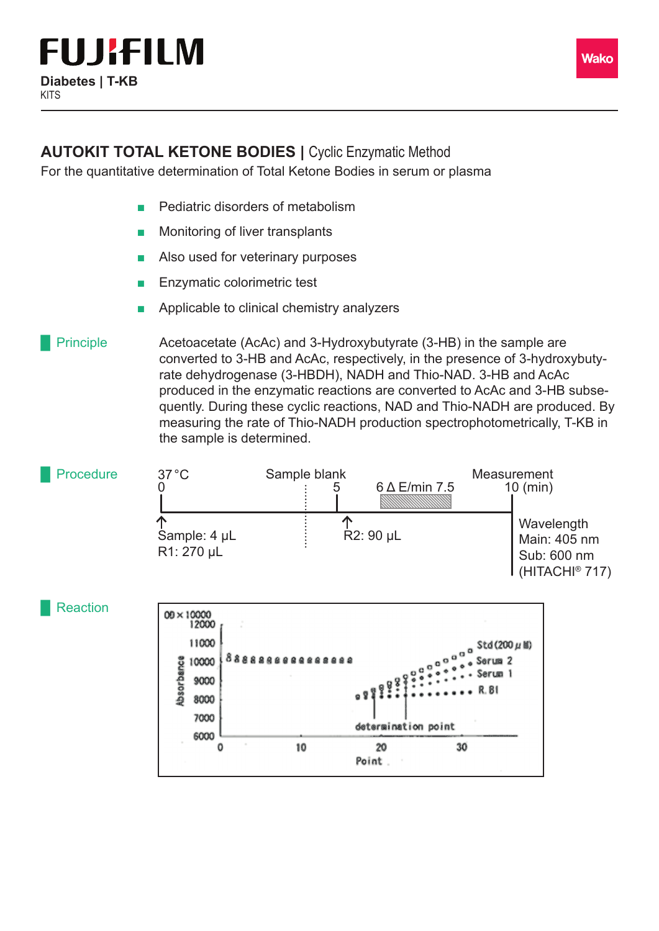

## **AUTOKIT TOTAL KETONE BODIES | Cyclic Enzymatic Method**

For the quantitative determination of Total Ketone Bodies in serum or plasma

- Pediatric disorders of metabolism
- Monitoring of liver transplants
- Also used for veterinary purposes
- Enzymatic colorimetric test
- Applicable to clinical chemistry analyzers

Acetoacetate (AcAc) and 3-Hydroxybutyrate (3-HB) in the sample are converted to 3-HB and AcAc, respectively, in the presence of 3-hydroxybutyrate dehydrogenase (3-HBDH), NADH and Thio-NAD. 3-HB and AcAc produced in the enzymatic reactions are converted to AcAc and 3-HB subsequently. During these cyclic reactions, NAD and Thio-NADH are produced. By measuring the rate of Thio-NADH production spectrophotometrically, T-KB in the sample is determined. **Principle**